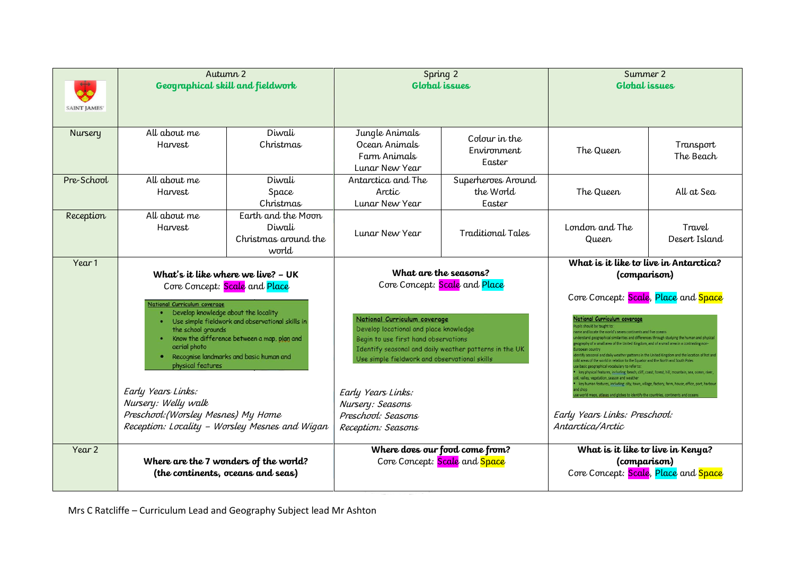| <b>SAINT JAMES</b> | Autumn 2<br>Geographical skill and fieldwork                                                                                                                                                                                                                                                                                                                                                                                                                                               |                                                               | Spring 2<br><b>Global</b> issues                                                                                                                                                                                                                                                                                                                                          |                                           | Summer 2<br><b>Global</b> issues                                                                                                                                                                                                                                                                                                                                                                                                                                                                                                                                                                                                                                                                                                                          |                                                                                                                                                                                                                                                 |
|--------------------|--------------------------------------------------------------------------------------------------------------------------------------------------------------------------------------------------------------------------------------------------------------------------------------------------------------------------------------------------------------------------------------------------------------------------------------------------------------------------------------------|---------------------------------------------------------------|---------------------------------------------------------------------------------------------------------------------------------------------------------------------------------------------------------------------------------------------------------------------------------------------------------------------------------------------------------------------------|-------------------------------------------|-----------------------------------------------------------------------------------------------------------------------------------------------------------------------------------------------------------------------------------------------------------------------------------------------------------------------------------------------------------------------------------------------------------------------------------------------------------------------------------------------------------------------------------------------------------------------------------------------------------------------------------------------------------------------------------------------------------------------------------------------------------|-------------------------------------------------------------------------------------------------------------------------------------------------------------------------------------------------------------------------------------------------|
| <b>Nursery</b>     | All about me<br>Harvest                                                                                                                                                                                                                                                                                                                                                                                                                                                                    | Diwali<br>Christmas                                           | Jungle Animals<br>Ocean Animals<br>Farm Animals<br>Lunar New Year                                                                                                                                                                                                                                                                                                         | Colour in the<br>Environment<br>Easter    | The Queen                                                                                                                                                                                                                                                                                                                                                                                                                                                                                                                                                                                                                                                                                                                                                 | Transport<br>The Beach                                                                                                                                                                                                                          |
| Pre-School         | All about me<br>Harvest                                                                                                                                                                                                                                                                                                                                                                                                                                                                    | Diwali<br>Space<br>Christmas                                  | Antarctica and The<br>Arctic<br>Lunar New Year                                                                                                                                                                                                                                                                                                                            | Superheroes Around<br>the World<br>Easter | The Queen                                                                                                                                                                                                                                                                                                                                                                                                                                                                                                                                                                                                                                                                                                                                                 | All at Sea                                                                                                                                                                                                                                      |
| Reception          | All about me<br>Harvest                                                                                                                                                                                                                                                                                                                                                                                                                                                                    | Earth and the Moon<br>Diwali<br>Christmas around the<br>world | Lunar New Year                                                                                                                                                                                                                                                                                                                                                            | Traditional Tales                         | London and The<br>Queen                                                                                                                                                                                                                                                                                                                                                                                                                                                                                                                                                                                                                                                                                                                                   | Travel<br>Desert Island                                                                                                                                                                                                                         |
| Year 1             | What's it like where we live? - UK<br>Core Concept: Scale and Place<br>National Curriculum coverage<br>Develop knowledge about the locality<br>Use simple fieldwork and observational skills in<br>the school grounds<br>Know the difference between a map, plan and<br>aerial photo<br>Recognise landmarks and basic human and<br>physical features<br>Early Years Links:<br>Nursery: Welly walk<br>Preschool: (Worsley Mesnes) My Home<br>Reception: Locality - Worsley Mesnes and Wigan |                                                               | What are the seasons?<br>Core Concept: Scale and Place<br>National Curriculum coverage<br>Develop locational and place knowledge<br>Begin to use first hand observations<br>Identify seasonal and daily weather patterns in the UK<br>Use simple fieldwork and observational skills<br>Early Years Links:<br>Nursery: Seasons<br>Preschool: Seasons<br>Reception: Seasons |                                           | What is it like to live in Antarctica?<br>(comparison)<br>Core Concept: Scale, Place and Space<br>National Curriculum coverage<br>pils should be taught to<br>me and locate the world's seven continents and five oceans<br>d areas of the world in relation to the Equator and the North and South Poles<br>basic geographical vocabulary to refer to:<br>key physical features, including: beach, cliff, coast, forest, hill, mountain, sea, ocean, river,<br>il, valley, vegetation, season and weather<br>key human features, including: city, town, village, factory, farm, house, office, port, harbour<br>se world maps, atlases and globes to identify the countries, continents and oceans<br>Early Years Links: Preschool:<br>Antarctica/Arctic | raphical similarities and differences through studying the human and physical<br>mall area of the United Kingdom, and of a small area in a contrasting non-<br>nal and daily weather patterns in the United Kingdom and the location of hot and |
| Year 2             | Where are the 7 wonders of the world?<br>(the continents, oceans and seas)                                                                                                                                                                                                                                                                                                                                                                                                                 |                                                               | Where does our food come from?                                                                                                                                                                                                                                                                                                                                            | Core Concept: Scale and Space             | What is it like to live in Kenya?<br>(comparison)<br>Core Concept: Scale, Place and Space                                                                                                                                                                                                                                                                                                                                                                                                                                                                                                                                                                                                                                                                 |                                                                                                                                                                                                                                                 |

Mrs C Ratcliffe – Curriculum Lead and Geography Subject lead Mr Ashton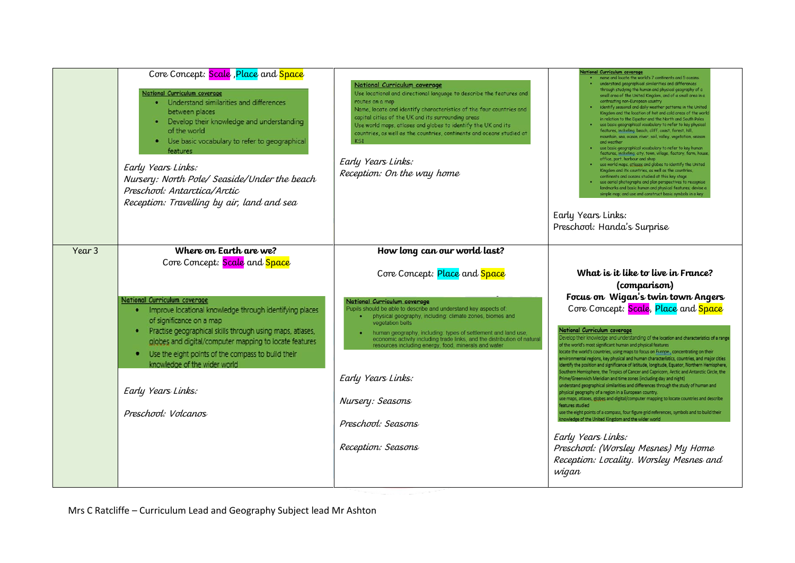|        | Core Concept: Scale, Place and Space<br><b>National Curriculum coverage</b><br>• Understand similarities and differences<br>between places<br>• Develop their knowledge and understanding<br>of the world<br>• Use basic vocabulary to refer to geographical<br>features<br>Early Years Links:<br>Nursery: North Pole/ Seaside/Under the beach<br>Preschool: Antarctica/Arctic<br>Reception: Travelling by air, land and sea               | National Curriculum coverage<br>Use locational and directional language to describe the features and<br>routes on a map<br>Name, locate and identify characteristics of the four countries and<br>capital cities of the UK and its surrounding areas<br>Use world maps, atlases and globes to identify the UK and its<br>countries, as well as the countries, continents and oceans studied at<br><b>KS1</b><br>Early Years Links:<br>Reception: On the way home                                                                             | National Curriculum coverage<br>name and locate the world's 7 continents and 5 oceans.<br>understand geographical similarities and differences<br>through studying the human and physical geography of a<br>small area of the United Kingdom, and of a small area in a<br>contrasting non-European country<br>. identify seasonal and daily weather patterns in the United<br>Kingdom and the location of hot and cold areas of the work<br>in relation to the Equator and the North and South Poles<br>. use basic geographical vocabulary to refer to key physical<br>features, including: beach, cliff, coast, forest, hill,<br>mountain, sea, ocean, river, soil, valley, vegetation, season<br>and weather<br>. use basic geographical vocabulary to refer to key human<br>features, including: city, town, village, factory, farm, house,<br>office, port, harbour and shop<br>use world maps, atlases and globes to identify the United<br>Kingdom and its countries, as well as the countries,<br>continents and oceans studied at this key stage<br>use aerial photographs and plan perspectives to recognise<br>landmarks and basic human and physical features; devise a<br>simple map; and use and construct basic symbols in a key<br>Early Years Links:<br>Preschool: Handa's Surprise                     |
|--------|--------------------------------------------------------------------------------------------------------------------------------------------------------------------------------------------------------------------------------------------------------------------------------------------------------------------------------------------------------------------------------------------------------------------------------------------|----------------------------------------------------------------------------------------------------------------------------------------------------------------------------------------------------------------------------------------------------------------------------------------------------------------------------------------------------------------------------------------------------------------------------------------------------------------------------------------------------------------------------------------------|--------------------------------------------------------------------------------------------------------------------------------------------------------------------------------------------------------------------------------------------------------------------------------------------------------------------------------------------------------------------------------------------------------------------------------------------------------------------------------------------------------------------------------------------------------------------------------------------------------------------------------------------------------------------------------------------------------------------------------------------------------------------------------------------------------------------------------------------------------------------------------------------------------------------------------------------------------------------------------------------------------------------------------------------------------------------------------------------------------------------------------------------------------------------------------------------------------------------------------------------------------------------------------------------------------------------------|
| Year 3 | Where on Earth are we?<br>Core Concept: Scale and Space<br>National Curriculum coverage<br>. Improve locational knowledge through identifying places<br>of significance on a map<br>Practise geographical skills through using maps, atlases,<br>globes and digital/computer mapping to locate features<br>Use the eight points of the compass to build their<br>knowledge of the wider world<br>Early Years Links:<br>Preschool: Volcanos | How long can our world last?<br>Core Concept: Place and Space<br>National Curriculum coverage<br>Pupils should be able to describe and understand key aspects of.<br>physical geography, including: climate zones, biomes and<br>vegetation belts<br>human geography, including: types of settlement and land use,<br>economic activity including trade links, and the distribution of natural<br>resources including energy, food, minerals and water<br>Early Years Links:<br>Nursery: Seasons<br>Preschool: Seasons<br>Reception: Seasons | What is it like to live in France?<br>(comparison)<br>Focus on Wigan's twin town Angers<br>Core Concept: Scale, Place and Space<br>National Curriculum coverage<br>Develop their knowledge and understanding of the location and characteristics of a range<br>of the world's most significant human and physical features<br>locate the world's countries, using maps to focus on Europe., concentrating on their<br>environmental regions, key physical and human characteristics, countries, and major cities<br>identify the position and significance of latitude, longitude, Equator, Northern Hemisphere,<br>Southern Hemisphere, the Tropics of Cancer and Capricorn, Arctic and Antarctic Circle, the<br>Prime/Greenwich Meridian and time zones (including day and night)<br>understand geographical similarities and differences through the study of human and<br>physical geography of a region in a European country.<br>use maps, atlases, globes and digital/computer mapping to locate countries and describe<br>features studied<br>use the eight points of a compass, four figure grid references, symbols and to build their<br>knowledge of the United Kingdom and the wider world<br>Early Years Links:<br>Preschool: (Worsley Mesnes) My Home<br>Reception: Locality. Worsley Mesnes and<br>wigan |

Mrs C Ratcliffe – Curriculum Lead and Geography Subject lead Mr Ashton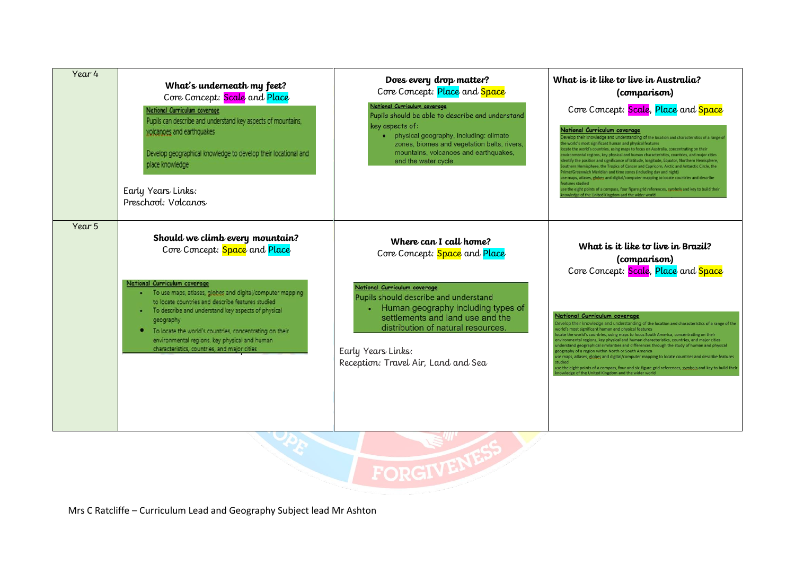| Year 4 | What's underneath my feet?<br>Core Concept: Scale and Place<br>National Curriculum coverage<br>Pupils can describe and understand key aspects of mountains,<br>volcanoes and earthquakes<br>Develop geographical knowledge to develop their locational and<br>place knowledge<br>Early Years Links:<br>Preschool: Volcanos                                                                                                                               | Does every drop matter?<br>Core Concept: Place and Space<br>National Curriculum coverage<br>Pupils should be able to describe and understand<br>key aspects of:<br>• physical geography, including: climate<br>zones, biomes and vegetation belts, rivers,<br>mountains, volcanoes and earthquakes,<br>and the water cycle | What is it like to live in Australia?<br>(comparison)<br>Core Concept: Scale, Place and Space<br>National Curriculum coverage<br>Develop their knowledge and understanding of the location and characteristics of a range of<br>he world's most significant human and physical features<br>cate the world's countries, using maps to focus on Australia, concentrating on their<br>wironmental regions, key physical and human characteristics, countries, and major cities<br>entify the position and significance of latitude, longitude, Equator, Northern Hemisphere,<br>outhern Hemisphere, the Tropics of Cancer and Capricorn, Arctic and Antarctic Circle, the<br>rime/Greenwich Meridian and time zones (including day and night)<br>se maps, atlases, globes and digital/computer mapping to locate countries and describe<br>eatures studied<br>use the eight points of a compass, four figure grid references, symbols and key to build their<br>owledge of the United Kingdom and the wider world |
|--------|----------------------------------------------------------------------------------------------------------------------------------------------------------------------------------------------------------------------------------------------------------------------------------------------------------------------------------------------------------------------------------------------------------------------------------------------------------|----------------------------------------------------------------------------------------------------------------------------------------------------------------------------------------------------------------------------------------------------------------------------------------------------------------------------|----------------------------------------------------------------------------------------------------------------------------------------------------------------------------------------------------------------------------------------------------------------------------------------------------------------------------------------------------------------------------------------------------------------------------------------------------------------------------------------------------------------------------------------------------------------------------------------------------------------------------------------------------------------------------------------------------------------------------------------------------------------------------------------------------------------------------------------------------------------------------------------------------------------------------------------------------------------------------------------------------------------|
| Year 5 | Should we climb every mountain?<br>Core Concept: Space and Place<br>National Curriculum coverage<br>· To use maps, atlases, globes and digital/computer mapping<br>to locate countries and describe features studied<br>To describe and understand key aspects of physical<br>geography<br>To locate the world's countries, concentrating on their<br>۰<br>environmental regions, key physical and human<br>characteristics, countries, and major cities | Where can I call home?<br>Core Concept: Space and Place<br>National Curriculum coverage<br>Pupils should describe and understand<br>Human geography including types of<br>settlements and land use and the<br>distribution of natural resources.<br>Early Years Links:<br>Reception: Travel Air, Land and Sea              | What is it like to live in Brazil?<br>(comparison)<br>Core Concept: Scale, Place and Space<br>National Curriculum coverage<br>Develop their knowledge and understanding of the location and characteristics of a range of the<br>world's most significant human and physical features<br>ocate the world's countries, using maps to focus South America, concentrating on their<br>wironmental regions, key physical and human characteristics, countries, and major cities<br>inderstand geographical similarities and differences through the study of human and physical<br>geography of a region within North or South America<br>use maps, atlases, globes and digital/computer mapping to locate countries and describe features<br>use the eight points of a compass, four and six-figure grid references, symbols and key to build their<br>nowledge of the United Kingdom and the wider world                                                                                                         |
|        |                                                                                                                                                                                                                                                                                                                                                                                                                                                          | FORGL                                                                                                                                                                                                                                                                                                                      |                                                                                                                                                                                                                                                                                                                                                                                                                                                                                                                                                                                                                                                                                                                                                                                                                                                                                                                                                                                                                |

Mrs C Ratcliffe – Curriculum Lead and Geography Subject lead Mr Ashton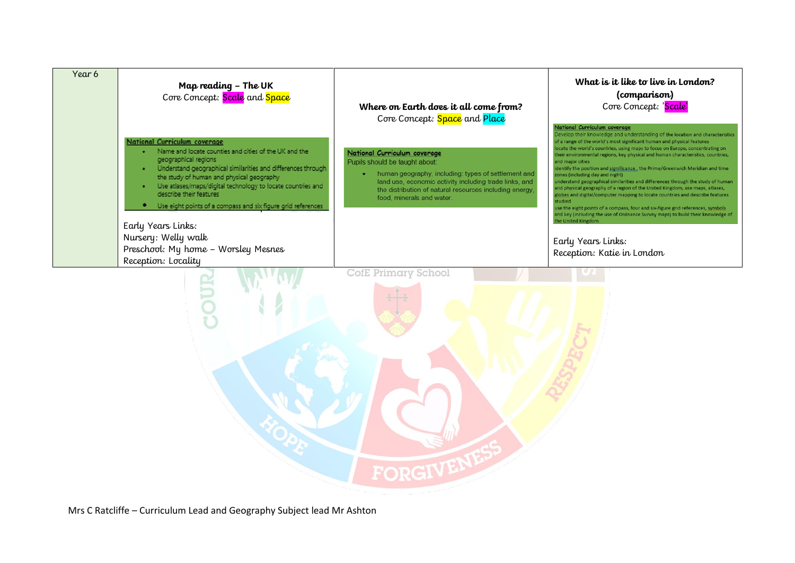| Year 6 | Map reading - The UK<br>Core Concept: Scale and Space                                                                                                                                                                                                                                                                                                                                                                  | Where on Earth does it all come from?<br>Core Concept: Space and Place                                                                                                                                                                                                       | What is it like to live in London?<br>(comparison)<br>Core Concept: 'Scale'                                                                                                                                                                                                                                                                                                                                                                                                                                                                                                                                                                                                                                                                                                                                                                                                                                                                                    |  |
|--------|------------------------------------------------------------------------------------------------------------------------------------------------------------------------------------------------------------------------------------------------------------------------------------------------------------------------------------------------------------------------------------------------------------------------|------------------------------------------------------------------------------------------------------------------------------------------------------------------------------------------------------------------------------------------------------------------------------|----------------------------------------------------------------------------------------------------------------------------------------------------------------------------------------------------------------------------------------------------------------------------------------------------------------------------------------------------------------------------------------------------------------------------------------------------------------------------------------------------------------------------------------------------------------------------------------------------------------------------------------------------------------------------------------------------------------------------------------------------------------------------------------------------------------------------------------------------------------------------------------------------------------------------------------------------------------|--|
|        | <b>National Curriculum coverage</b><br>Name and locate counties and cities of the UK and the<br>geographical regions<br>Understand geographical similarities and differences through<br>the study of human and physical geography<br>Use atlases/maps/digital technology to locate countries and<br>describe their features<br>Use eight points of a compass and six figure grid references<br>۰<br>Early Years Links: | National Curriculum coverage<br>Pupils should be taught about:<br>human geography, including: types of settlement and<br>۰<br>land use, economic activity including trade links, and<br>the distribution of natural resources including energy.<br>food, minerals and water. | National Curriculum coverage<br>Develop their knowledge and understanding of the location and characteristics<br>of a range of the world's most significant human and physical features<br>locate the world's countries, using maps to focus on Europe, concentrating on<br>their environmental regions, key physical and human characteristics, countries,<br>and major cities<br>identify the position and significance, the Prime/Greenwich Meridian and time<br>zones (including day and night)<br>understand geographical similarities and differences through the study of human<br>and physical geography of a region of the United Kingdom, use maps, atlases,<br>globes and digital/computer mapping to locate countries and describe features<br>studied<br>use the eight points of a compass, four and six-figure grid references, symbols<br>and key (including the use of Ordnance Survey maps) to build their knowledge of<br>the United Kingdom |  |
|        | Nursery: Welly walk<br>Preschool: My home - Worsley Mesnes<br>Reception: Locality                                                                                                                                                                                                                                                                                                                                      |                                                                                                                                                                                                                                                                              | Early Years Links:<br>Reception: Katie in London                                                                                                                                                                                                                                                                                                                                                                                                                                                                                                                                                                                                                                                                                                                                                                                                                                                                                                               |  |
|        |                                                                                                                                                                                                                                                                                                                                                                                                                        | CofE Primary School                                                                                                                                                                                                                                                          |                                                                                                                                                                                                                                                                                                                                                                                                                                                                                                                                                                                                                                                                                                                                                                                                                                                                                                                                                                |  |